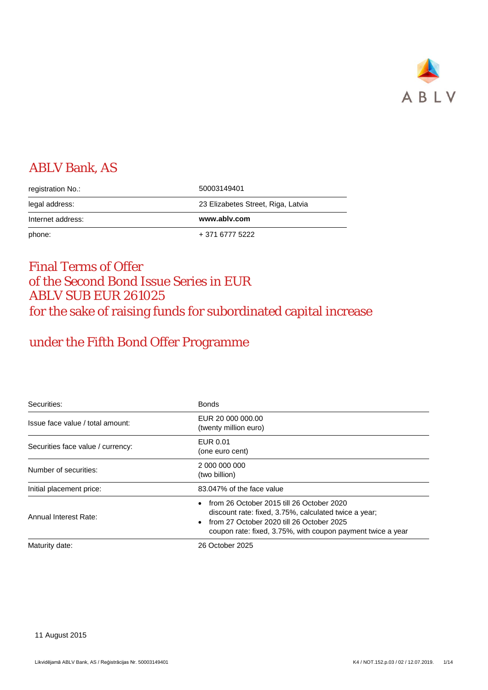

# ABLV Bank, AS

| registration No.: | 50003149401                        |
|-------------------|------------------------------------|
| legal address:    | 23 Elizabetes Street, Riga, Latvia |
| Internet address: | www.ablv.com                       |
|                   |                                    |

# Final Terms of Offer of the Second Bond Issue Series in EUR ABLV SUB EUR 261025 for the sake of raising funds for subordinated capital increase

# under the Fifth Bond Offer Programme

| Securities:                       | <b>Bonds</b>                                                                                                                                                                                                   |
|-----------------------------------|----------------------------------------------------------------------------------------------------------------------------------------------------------------------------------------------------------------|
| Issue face value / total amount:  | EUR 20 000 000.00<br>(twenty million euro)                                                                                                                                                                     |
| Securities face value / currency: | EUR 0.01<br>(one euro cent)                                                                                                                                                                                    |
| Number of securities:             | 2 000 000 000<br>(two billion)                                                                                                                                                                                 |
| Initial placement price:          | 83.047% of the face value                                                                                                                                                                                      |
| Annual Interest Rate:             | from 26 October 2015 till 26 October 2020<br>discount rate: fixed, 3.75%, calculated twice a year;<br>from 27 October 2020 till 26 October 2025<br>coupon rate: fixed, 3.75%, with coupon payment twice a year |
| Maturity date:                    | 26 October 2025                                                                                                                                                                                                |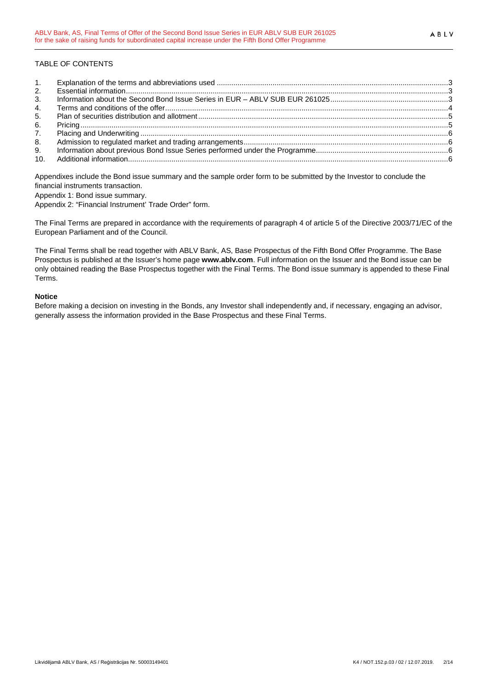| 2. |  |
|----|--|
| 3. |  |
| 4. |  |
| 5. |  |
| 6. |  |
|    |  |
| 8. |  |
| 9. |  |
|    |  |

Appendixes include the Bond issue summary and the sample order form to be submitted by the Investor to conclude the financial instruments transaction.

Appendix 1: Bond issue summary.

Appendix 2: "Financial Instrument' Trade Order" form.

The Final Terms are prepared in accordance with the requirements of paragraph 4 of article 5 of the Directive 2003/71/EC of the European Parliament and of the Council.

The Final Terms shall be read together with ABLV Bank, AS, Base Prospectus of the Fifth Bond Offer Programme. The Base Prospectus is published at the Issuer's home page **www.ablv.com**. Full information on the Issuer and the Bond issue can be only obtained reading the Base Prospectus together with the Final Terms. The Bond issue summary is appended to these Final Terms.

#### **Notice**

Before making a decision on investing in the Bonds, any Investor shall independently and, if necessary, engaging an advisor, generally assess the information provided in the Base Prospectus and these Final Terms.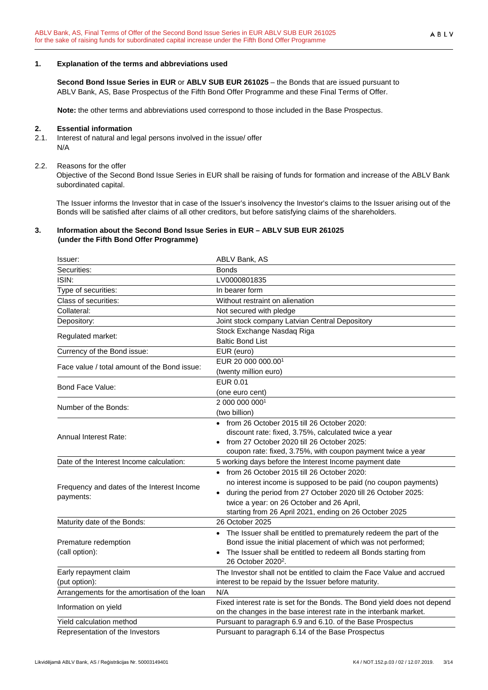## <span id="page-2-0"></span>**1. Explanation of the terms and abbreviations used**

**Second Bond Issue Series in EUR** or **ABLV SUB EUR 261025** – the Bonds that are issued pursuant to ABLV Bank, AS, Base Prospectus of the Fifth Bond Offer Programme and these Final Terms of Offer.

**Note:** the other terms and abbreviations used correspond to those included in the Base Prospectus.

## <span id="page-2-1"></span>**2. Essential information**

2.1. Interest of natural and legal persons involved in the issue/ offer N/A

## 2.2. Reasons for the offer

Objective of the Second Bond Issue Series in EUR shall be raising of funds for formation and increase of the ABLV Bank subordinated capital.

The Issuer informs the Investor that in case of the Issuer's insolvency the Investor's claims to the Issuer arising out of the Bonds will be satisfied after claims of all other creditors, but before satisfying claims of the shareholders.

## <span id="page-2-2"></span>**3. Information about the Second Bond Issue Series in EUR – ABLV SUB EUR 261025 (under the Fifth Bond Offer Programme)**

| Issuer:                                       | ABLV Bank, AS                                                                                    |
|-----------------------------------------------|--------------------------------------------------------------------------------------------------|
| Securities:                                   | <b>Bonds</b>                                                                                     |
| ISIN:                                         | LV0000801835                                                                                     |
| Type of securities:                           | In bearer form                                                                                   |
| Class of securities:                          | Without restraint on alienation                                                                  |
| Collateral:                                   | Not secured with pledge                                                                          |
| Depository:                                   | Joint stock company Latvian Central Depository                                                   |
|                                               | Stock Exchange Nasdaq Riga                                                                       |
| Regulated market:                             | <b>Baltic Bond List</b>                                                                          |
| Currency of the Bond issue:                   | EUR (euro)                                                                                       |
| Face value / total amount of the Bond issue:  | EUR 20 000 000.001                                                                               |
|                                               | (twenty million euro)                                                                            |
| Bond Face Value:                              | <b>EUR 0.01</b>                                                                                  |
|                                               | (one euro cent)                                                                                  |
| Number of the Bonds:                          | 2 000 000 0001                                                                                   |
|                                               | (two billion)                                                                                    |
|                                               | • from 26 October 2015 till 26 October 2020:                                                     |
| <b>Annual Interest Rate:</b>                  | discount rate: fixed, 3.75%, calculated twice a year                                             |
|                                               | from 27 October 2020 till 26 October 2025:                                                       |
|                                               | coupon rate: fixed, 3.75%, with coupon payment twice a year                                      |
| Date of the Interest Income calculation:      | 5 working days before the Interest Income payment date                                           |
|                                               | • from 26 October 2015 till 26 October 2020:                                                     |
| Frequency and dates of the Interest Income    | no interest income is supposed to be paid (no coupon payments)                                   |
| payments:                                     | • during the period from 27 October 2020 till 26 October 2025:                                   |
|                                               | twice a year: on 26 October and 26 April,                                                        |
|                                               | starting from 26 April 2021, ending on 26 October 2025                                           |
| Maturity date of the Bonds:                   | 26 October 2025                                                                                  |
|                                               | • The Issuer shall be entitled to prematurely redeem the part of the                             |
| Premature redemption                          | Bond issue the initial placement of which was not performed;                                     |
| (call option):                                | The Issuer shall be entitled to redeem all Bonds starting from<br>26 October 2020 <sup>2</sup> . |
| Early repayment claim                         | The Investor shall not be entitled to claim the Face Value and accrued                           |
| (put option):                                 | interest to be repaid by the Issuer before maturity.                                             |
| Arrangements for the amortisation of the loan | N/A                                                                                              |
| Information on yield                          | Fixed interest rate is set for the Bonds. The Bond yield does not depend                         |
|                                               | on the changes in the base interest rate in the interbank market.                                |
| Yield calculation method                      | Pursuant to paragraph 6.9 and 6.10. of the Base Prospectus                                       |
| Representation of the Investors               | Pursuant to paragraph 6.14 of the Base Prospectus                                                |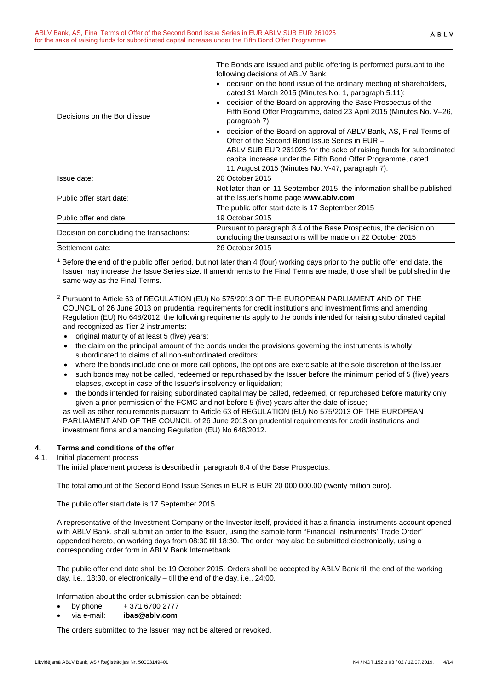The Bonds are issued and public offering is performed pursuant to the following decisions of ABLV Bank:

- decision on the bond issue of the ordinary meeting of shareholders, dated 31 March 2015 (Minutes No. 1, paragraph 5.11);
- decision of the Board on approving the Base Prospectus of the Fifth Bond Offer Programme, dated 23 April 2015 (Minutes No. V–26, paragraph 7);

|                                          | • decision of the Board on approval of ABLV Bank, AS, Final Terms of<br>Offer of the Second Bond Issue Series in EUR -<br>ABLV SUB EUR 261025 for the sake of raising funds for subordinated<br>capital increase under the Fifth Bond Offer Programme, dated<br>11 August 2015 (Minutes No. V-47, paragraph 7). |
|------------------------------------------|-----------------------------------------------------------------------------------------------------------------------------------------------------------------------------------------------------------------------------------------------------------------------------------------------------------------|
| Issue date:                              | 26 October 2015                                                                                                                                                                                                                                                                                                 |
| Public offer start date:                 | Not later than on 11 September 2015, the information shall be published<br>at the Issuer's home page www.ablv.com                                                                                                                                                                                               |
|                                          | The public offer start date is 17 September 2015                                                                                                                                                                                                                                                                |
| Public offer end date:                   | 19 October 2015                                                                                                                                                                                                                                                                                                 |
| Decision on concluding the transactions: | Pursuant to paragraph 8.4 of the Base Prospectus, the decision on<br>concluding the transactions will be made on 22 October 2015                                                                                                                                                                                |
| Settlement date:                         | 26 October 2015                                                                                                                                                                                                                                                                                                 |

<sup>1</sup> Before the end of the public offer period, but not later than 4 (four) working days prior to the public offer end date, the Issuer may increase the Issue Series size. If amendments to the Final Terms are made, those shall be published in the same way as the Final Terms.

- 2 Pursuant to Article 63 of REGULATION (EU) No 575/2013 OF THE EUROPEAN PARLIAMENT AND OF THE COUNCIL of 26 June 2013 on prudential requirements for credit institutions and investment firms and amending Regulation (EU) No 648/2012, the following requirements apply to the bonds intended for raising subordinated capital and recognized as Tier 2 instruments:
	- original maturity of at least 5 (five) years;
	- the claim on the principal amount of the bonds under the provisions governing the instruments is wholly subordinated to claims of all non-subordinated creditors;
	- where the bonds include one or more call options, the options are exercisable at the sole discretion of the Issuer;
	- such bonds may not be called, redeemed or repurchased by the Issuer before the minimum period of 5 (five) years elapses, except in case of the Issuer's insolvency or liquidation;
	- the bonds intended for raising subordinated capital may be called, redeemed, or repurchased before maturity only given a prior permission of the FCMC and not before 5 (five) years after the date of issue;

as well as other requirements pursuant to Article 63 of REGULATION (EU) No 575/2013 OF THE EUROPEAN PARLIAMENT AND OF THE COUNCIL of 26 June 2013 on prudential requirements for credit institutions and investment firms and amending Regulation (EU) No 648/2012.

### <span id="page-3-0"></span>**4. Terms and conditions of the offer**

Decisions on the Bond issue

#### 4.1. Initial placement process

The initial placement process is described in paragraph 8.4 of the Base Prospectus.

The total amount of the Second Bond Issue Series in EUR is EUR 20 000 000.00 (twenty million euro).

The public offer start date is 17 September 2015.

A representative of the Investment Company or the Investor itself, provided it has a financial instruments account opened with ABLV Bank, shall submit an order to the Issuer, using the sample form "Financial Instruments' Trade Order" appended hereto, on working days from 08:30 till 18:30. The order may also be submitted electronically, using a corresponding order form in ABLV Bank Internetbank.

The public offer end date shall be 19 October 2015. Orders shall be accepted by ABLV Bank till the end of the working day, i.e., 18:30, or electronically – till the end of the day, i.e., 24:00.

Information about the order submission can be obtained:

- by phone:  $+371\,6700\,2777$
- via e-mail: **ibas@ablv.com**

The orders submitted to the Issuer may not be altered or revoked.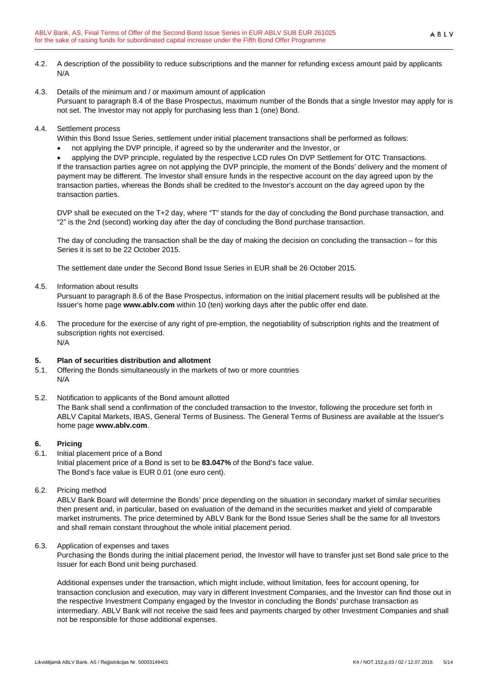- 4.2. A description of the possibility to reduce subscriptions and the manner for refunding excess amount paid by applicants N/A
- 4.3. Details of the minimum and / or maximum amount of application Pursuant to paragraph 8.4 of the Base Prospectus, maximum number of the Bonds that a single Investor may apply for is not set. The Investor may not apply for purchasing less than 1 (one) Bond.
- 4.4. Settlement process
	- Within this Bond Issue Series, settlement under initial placement transactions shall be performed as follows:
	- not applying the DVP principle, if agreed so by the underwriter and the Investor, or

• applying the DVP principle, regulated by the respective LCD rules On DVP Settlement for OTC Transactions. If the transaction parties agree on not applying the DVP principle, the moment of the Bonds' delivery and the moment of payment may be different. The Investor shall ensure funds in the respective account on the day agreed upon by the transaction parties, whereas the Bonds shall be credited to the Investor's account on the day agreed upon by the transaction parties.

DVP shall be executed on the T+2 day, where "T" stands for the day of concluding the Bond purchase transaction, and "2" is the 2nd (second) working day after the day of concluding the Bond purchase transaction.

The day of concluding the transaction shall be the day of making the decision on concluding the transaction – for this Series it is set to be 22 October 2015.

The settlement date under the Second Bond Issue Series in EUR shall be 26 October 2015.

#### 4.5. Information about results

Pursuant to paragraph 8.6 of the Base Prospectus, information on the initial placement results will be published at the Issuer's home page **www.ablv.com** within 10 (ten) working days after the public offer end date.

4.6. The procedure for the exercise of any right of pre-emption, the negotiability of subscription rights and the treatment of subscription rights not exercised. N/A

#### <span id="page-4-0"></span>**5. Plan of securities distribution and allotment**

- 5.1. Offering the Bonds simultaneously in the markets of two or more countries N/A
- 5.2. Notification to applicants of the Bond amount allotted The Bank shall send a confirmation of the concluded transaction to the Investor, following the procedure set forth in ABLV Capital Markets, IBAS, General Terms of Business. The General Terms of Business are available at the Issuer's home page **[www.ablv.com](http://www.ablv.com/)**.

### <span id="page-4-1"></span>**6. Pricing**

- 6.1. Initial placement price of a Bond
- Initial placement price of a Bond is set to be **83.047%** of the Bond's face value. The Bond's face value is EUR 0.01 (one euro cent).
- 6.2. Pricing method

ABLV Bank Board will determine the Bonds' price depending on the situation in secondary market of similar securities then present and, in particular, based on evaluation of the demand in the securities market and yield of comparable market instruments. The price determined by ABLV Bank for the Bond Issue Series shall be the same for all Investors and shall remain constant throughout the whole initial placement period.

#### 6.3. Application of expenses and taxes

Purchasing the Bonds during the initial placement period, the Investor will have to transfer just set Bond sale price to the Issuer for each Bond unit being purchased.

Additional expenses under the transaction, which might include, without limitation, fees for account opening, for transaction conclusion and execution, may vary in different Investment Companies, and the Investor can find those out in the respective Investment Company engaged by the Investor in concluding the Bonds' purchase transaction as intermediary. ABLV Bank will not receive the said fees and payments charged by other Investment Companies and shall not be responsible for those additional expenses.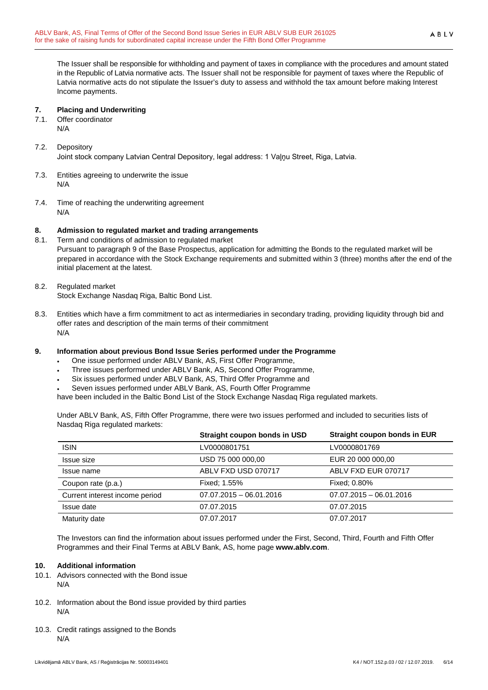The Issuer shall be responsible for withholding and payment of taxes in compliance with the procedures and amount stated in the Republic of Latvia normative acts. The Issuer shall not be responsible for payment of taxes where the Republic of Latvia normative acts do not stipulate the Issuer's duty to assess and withhold the tax amount before making Interest Income payments.

#### <span id="page-5-0"></span>**7. Placing and Underwriting**

- 7.1. Offer coordinator
	- N/A

## 7.2. Depository

Joint stock company Latvian Central Depository, legal address: 1 Vaļņu Street, Riga, Latvia.

- 7.3. Entities agreeing to underwrite the issue N/A
- 7.4. Time of reaching the underwriting agreement N/A

#### <span id="page-5-1"></span>**8. Admission to regulated market and trading arrangements**

- 8.1. Term and conditions of admission to regulated market Pursuant to paragraph 9 of the Base Prospectus, application for admitting the Bonds to the regulated market will be prepared in accordance with the Stock Exchange requirements and submitted within 3 (three) months after the end of the initial placement at the latest.
- 8.2. Regulated market Stock Exchange Nasdaq Riga, Baltic Bond List.
- 8.3. Entities which have a firm commitment to act as intermediaries in secondary trading, providing liquidity through bid and offer rates and description of the main terms of their commitment N/A

### <span id="page-5-2"></span>**9. Information about previous Bond Issue Series performed under the Programme**

- One issue performed under ABLV Bank, AS, First Offer Programme,
- Three issues performed under ABLV Bank, AS, Second Offer Programme,
- Six issues performed under ABLV Bank, AS, Third Offer Programme and
- Seven issues performed under ABLV Bank, AS, Fourth Offer Programme

have been included in the Baltic Bond List of the Stock Exchange Nasdaq Riga regulated markets.

Under ABLV Bank, AS, Fifth Offer Programme, there were two issues performed and included to securities lists of Nasdaq Riga regulated markets:

|                                | Straight coupon bonds in USD | Straight coupon bonds in EUR |
|--------------------------------|------------------------------|------------------------------|
| <b>ISIN</b>                    | LV0000801751                 | LV0000801769                 |
| Issue size                     | USD 75 000 000,00            | EUR 20 000 000,00            |
| Issue name                     | ABLV FXD USD 070717          | ABLV FXD EUR 070717          |
| Coupon rate (p.a.)             | Fixed: 1.55%                 | Fixed: 0.80%                 |
| Current interest income period | $07.07.2015 - 06.01.2016$    | $07.07.2015 - 06.01.2016$    |
| Issue date                     | 07.07.2015                   | 07.07.2015                   |
| Maturity date                  | 07.07.2017                   | 07.07.2017                   |

The Investors can find the information about issues performed under the First, Second, Third, Fourth and Fifth Offer Programmes and their Final Terms at ABLV Bank, AS, home page **[www.ablv.com](http://www.ablv.com/)**.

#### <span id="page-5-3"></span>**10. Additional information**

- 10.1. Advisors connected with the Bond issue N/A
- 10.2. Information about the Bond issue provided by third parties N/A
- 10.3. Credit ratings assigned to the Bonds N/A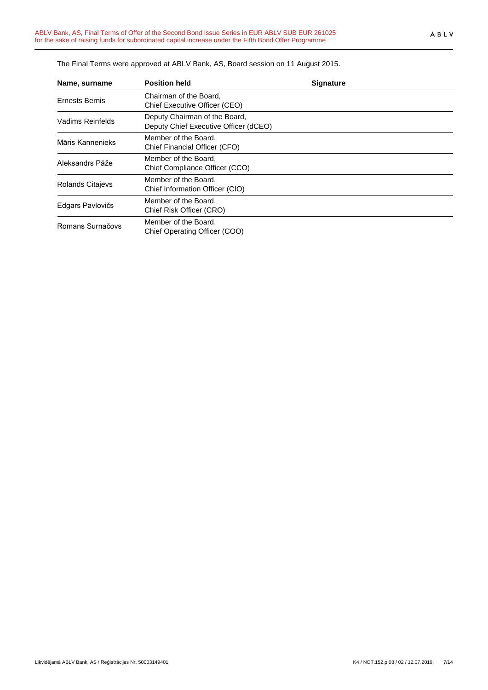| Name, surname    | <b>Position held</b>                                                   | <b>Signature</b> |  |
|------------------|------------------------------------------------------------------------|------------------|--|
| Ernests Bernis   | Chairman of the Board,<br>Chief Executive Officer (CEO)                |                  |  |
| Vadims Reinfelds | Deputy Chairman of the Board,<br>Deputy Chief Executive Officer (dCEO) |                  |  |
| Māris Kannenieks | Member of the Board.<br>Chief Financial Officer (CFO)                  |                  |  |
| Aleksandrs Pāže  | Member of the Board.<br>Chief Compliance Officer (CCO)                 |                  |  |
| Rolands Citajevs | Member of the Board,<br>Chief Information Officer (CIO)                |                  |  |
| Edgars Pavlovičs | Member of the Board,<br>Chief Risk Officer (CRO)                       |                  |  |
| Romans Surnačovs | Member of the Board,<br>Chief Operating Officer (COO)                  |                  |  |

The Final Terms were approved at ABLV Bank, AS, Board session on 11 August 2015.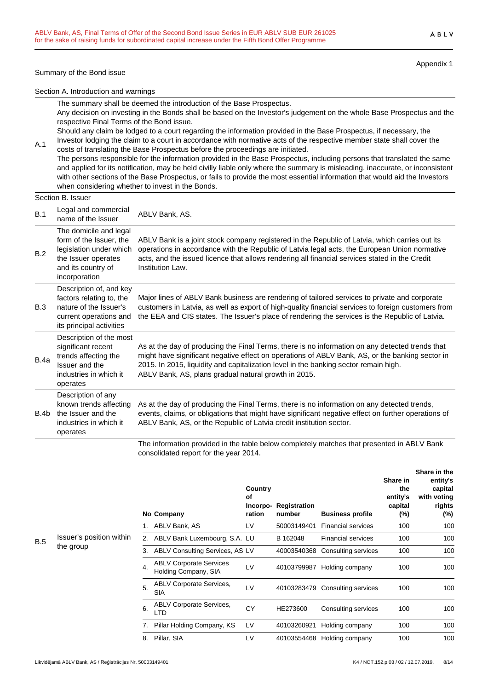#### Summary of the Bond issue

Appendix 1

Section A. Introduction and warnings

The summary shall be deemed the introduction of the Base Prospectus.

Any decision on investing in the Bonds shall be based on the Investor's judgement on the whole Base Prospectus and the respective Final Terms of the Bond issue.

Should any claim be lodged to a court regarding the information provided in the Base Prospectus, if necessary, the Investor lodging the claim to a court in accordance with normative acts of the respective member state shall cover the

costs of translating the Base Prospectus before the proceedings are initiated. The persons responsible for the information provided in the Base Prospectus, including persons that translated the same and applied for its notification, may be held civilly liable only where the summary is misleading, inaccurate, or inconsistent with other sections of the Base Prospectus, or fails to provide the most essential information that would aid the Investors when considering whether to invest in the Bonds.

A.1

|             | וטשטטו וטאטע                                                                                                                               |                                                                                                                                                                                                                                                                                                                                                    |
|-------------|--------------------------------------------------------------------------------------------------------------------------------------------|----------------------------------------------------------------------------------------------------------------------------------------------------------------------------------------------------------------------------------------------------------------------------------------------------------------------------------------------------|
| B.1         | Legal and commercial<br>name of the Issuer                                                                                                 | ABLV Bank, AS.                                                                                                                                                                                                                                                                                                                                     |
| B.2         | The domicile and legal<br>form of the Issuer, the<br>legislation under which<br>the Issuer operates<br>and its country of<br>incorporation | ABLV Bank is a joint stock company registered in the Republic of Latvia, which carries out its<br>operations in accordance with the Republic of Latvia legal acts, the European Union normative<br>acts, and the issued licence that allows rendering all financial services stated in the Credit<br>Institution Law.                              |
| B.3         | Description of, and key<br>factors relating to, the<br>nature of the Issuer's<br>current operations and<br>its principal activities        | Major lines of ABLV Bank business are rendering of tailored services to private and corporate<br>customers in Latvia, as well as export of high-quality financial services to foreign customers from<br>the EEA and CIS states. The Issuer's place of rendering the services is the Republic of Latvia.                                            |
| <b>B.4a</b> | Description of the most<br>significant recent<br>trends affecting the<br>Issuer and the<br>industries in which it<br>operates              | As at the day of producing the Final Terms, there is no information on any detected trends that<br>might have significant negative effect on operations of ABLV Bank, AS, or the banking sector in<br>2015. In 2015, liquidity and capitalization level in the banking sector remain high.<br>ABLV Bank, AS, plans gradual natural growth in 2015. |
| B.4b        | Description of any<br>known trends affecting<br>the Issuer and the<br>industries in which it<br>operates                                   | As at the day of producing the Final Terms, there is no information on any detected trends,<br>events, claims, or obligations that might have significant negative effect on further operations of<br>ABLV Bank, AS, or the Republic of Latvia credit institution sector.                                                                          |
|             |                                                                                                                                            | .                                                                                                                                                                                                                                                                                                                                                  |

The information provided in the table below completely matches that presented in ABLV Bank consolidated report for the year 2014.

|     |                                       |    | No Company                                             | Country<br>οf<br>Incorpo-<br>ration | Registration<br>number | <b>Business profile</b>     | Share in<br>the<br>entity's<br>capital<br>$(\%)$ | טווטוס ווו עווט<br>entity's<br>capital<br>with voting<br>rights<br>(%) |
|-----|---------------------------------------|----|--------------------------------------------------------|-------------------------------------|------------------------|-----------------------------|--------------------------------------------------|------------------------------------------------------------------------|
|     |                                       |    | ABLV Bank, AS                                          | LV                                  | 50003149401            | <b>Financial services</b>   | 100                                              | 100                                                                    |
| B.5 | Issuer's position within<br>the group |    | ABLV Bank Luxembourg, S.A. LU                          |                                     | B 162048               | <b>Financial services</b>   | 100                                              | 100                                                                    |
|     |                                       | 3. | ABLV Consulting Services, AS LV                        |                                     | 40003540368            | Consulting services         | 100                                              | 100                                                                    |
|     |                                       | 4. | <b>ABLV Corporate Services</b><br>Holding Company, SIA | LV                                  | 40103799987            | Holding company             | 100                                              | 100                                                                    |
|     |                                       | 5. | <b>ABLV Corporate Services,</b><br><b>SIA</b>          | LV                                  | 40103283479            | Consulting services         | 100                                              | 100                                                                    |
|     |                                       | 6. | <b>ABLV Corporate Services,</b><br>LTD                 | CY                                  | HE273600               | Consulting services         | 100                                              | 100                                                                    |
|     |                                       |    | Pillar Holding Company, KS                             | LV                                  | 40103260921            | Holding company             | 100                                              | 100                                                                    |
|     |                                       | 8. | Pillar, SIA                                            | LV                                  |                        | 40103554468 Holding company | 100                                              | 100                                                                    |

**Share in the**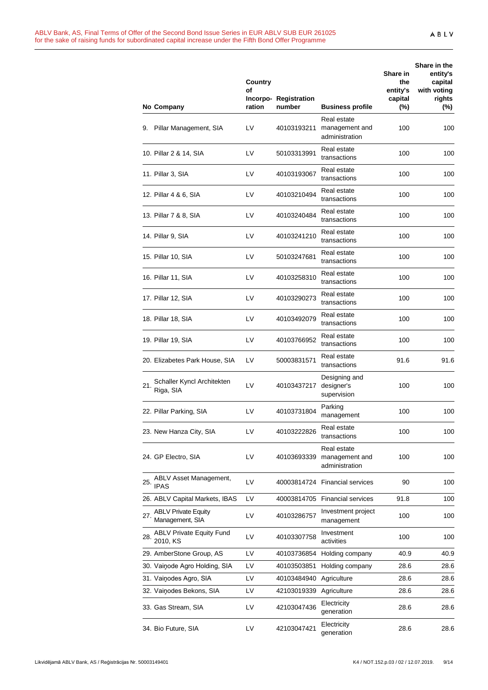|     | No Company                                    | <b>Country</b><br>of<br>ration | Incorpo-Registration<br>number | <b>Business profile</b>                         | Share in<br>the<br>entity's<br>capital<br>$(\%)$ | Share in the<br>entity's<br>capital<br>with voting<br>rights<br>$(\%)$ |
|-----|-----------------------------------------------|--------------------------------|--------------------------------|-------------------------------------------------|--------------------------------------------------|------------------------------------------------------------------------|
|     | 9. Pillar Management, SIA                     | LV                             | 40103193211                    | Real estate<br>management and<br>administration | 100                                              | 100                                                                    |
|     | 10. Pillar 2 & 14, SIA                        | LV                             | 50103313991                    | Real estate<br>transactions                     | 100                                              | 100                                                                    |
|     | 11. Pillar 3, SIA                             | LV                             | 40103193067                    | Real estate<br>transactions                     | 100                                              | 100                                                                    |
|     | 12. Pillar 4 & 6, SIA                         | LV                             | 40103210494                    | Real estate<br>transactions                     | 100                                              | 100                                                                    |
|     | 13. Pillar 7 & 8, SIA                         | LV                             | 40103240484                    | Real estate<br>transactions                     | 100                                              | 100                                                                    |
|     | 14. Pillar 9, SIA                             | LV                             | 40103241210                    | Real estate<br>transactions                     | 100                                              | 100                                                                    |
|     | 15. Pillar 10, SIA                            | LV                             | 50103247681                    | Real estate<br>transactions                     | 100                                              | 100                                                                    |
|     | 16. Pillar 11, SIA                            | LV                             | 40103258310                    | Real estate<br>transactions                     | 100                                              | 100                                                                    |
|     | 17. Pillar 12, SIA                            | LV                             | 40103290273                    | Real estate<br>transactions                     | 100                                              | 100                                                                    |
|     | 18. Pillar 18, SIA                            | LV                             | 40103492079                    | Real estate<br>transactions                     | 100                                              | 100                                                                    |
|     | 19. Pillar 19, SIA                            | LV                             | 40103766952                    | Real estate<br>transactions                     | 100                                              | 100                                                                    |
|     | 20. Elizabetes Park House, SIA                | LV                             | 50003831571                    | Real estate<br>transactions                     | 91.6                                             | 91.6                                                                   |
| 21. | Schaller Kyncl Architekten<br>Riga, SIA       | LV                             | 40103437217                    | Designing and<br>designer's<br>supervision      | 100                                              | 100                                                                    |
|     | 22. Pillar Parking, SIA                       | LV                             | 40103731804                    | Parking<br>management                           | 100                                              | 100                                                                    |
|     | 23. New Hanza City, SIA                       | LV                             | 40103222826                    | Real estate<br>transactions                     | 100                                              | 100                                                                    |
|     | 24. GP Electro, SIA                           | LV                             | 40103693339                    | Real estate<br>management and<br>administration | 100                                              | 100                                                                    |
| 25. | ABLV Asset Management,<br><b>IPAS</b>         | LV                             |                                | 40003814724 Financial services                  | 90                                               | 100                                                                    |
|     | 26. ABLV Capital Markets, IBAS                | LV                             |                                | 40003814705 Financial services                  | 91.8                                             | 100                                                                    |
| 27. | <b>ABLV Private Equity</b><br>Management, SIA | LV                             | 40103286757                    | Investment project<br>management                | 100                                              | 100                                                                    |
| 28. | <b>ABLV Private Equity Fund</b><br>2010, KS   | LV                             | 40103307758                    | Investment<br>activities                        | 100                                              | 100                                                                    |
|     | 29. AmberStone Group, AS                      | LV                             | 40103736854                    | Holding company                                 | 40.9                                             | 40.9                                                                   |
|     | 30. Vainode Agro Holding, SIA                 | LV                             | 40103503851                    | Holding company                                 | 28.6                                             | 28.6                                                                   |
|     | 31. Vainodes Agro, SIA                        | LV                             | 40103484940                    | Agriculture                                     | 28.6                                             | 28.6                                                                   |
|     | 32. Vainodes Bekons, SIA                      | LV                             | 42103019339                    | Agriculture                                     | 28.6                                             | 28.6                                                                   |
|     | 33. Gas Stream, SIA                           | LV                             | 42103047436                    | Electricity<br>generation                       | 28.6                                             | 28.6                                                                   |
|     | 34. Bio Future, SIA                           | LV                             | 42103047421                    | Electricity<br>generation                       | 28.6                                             | 28.6                                                                   |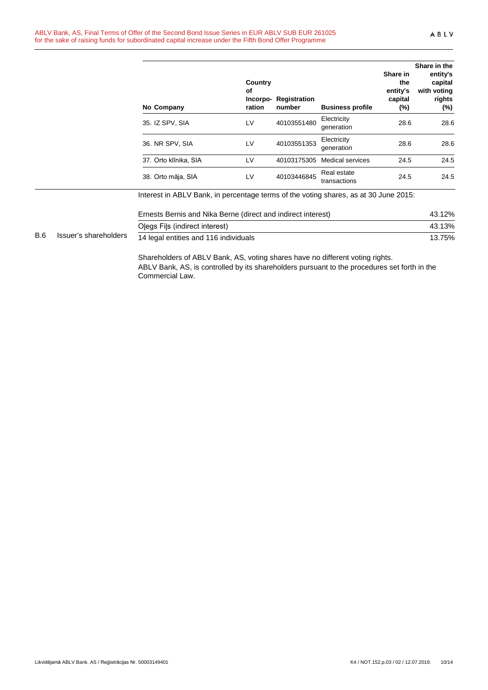|            |                       | No Company                                                                                                                                                                    | Country<br>οf<br>ration | Incorpo-Registration<br>number | <b>Business profile</b>     | Share in<br>the<br>entity's<br>capital<br>$(\%)$ | Share in the<br>entity's<br>capital<br>with voting<br>rights<br>(%) |
|------------|-----------------------|-------------------------------------------------------------------------------------------------------------------------------------------------------------------------------|-------------------------|--------------------------------|-----------------------------|--------------------------------------------------|---------------------------------------------------------------------|
|            |                       | 35. IZ SPV, SIA                                                                                                                                                               | LV                      | 40103551480                    | Electricity<br>generation   | 28.6                                             | 28.6                                                                |
|            |                       | 36. NR SPV, SIA                                                                                                                                                               | LV                      | 40103551353                    | Electricity<br>generation   | 28.6                                             | 28.6                                                                |
|            |                       | 37. Orto klīnika, SIA                                                                                                                                                         | LV                      | 40103175305                    | <b>Medical services</b>     | 24.5                                             | 24.5                                                                |
|            |                       | 38. Orto māja, SIA                                                                                                                                                            | LV                      | 40103446845                    | Real estate<br>transactions | 24.5                                             | 24.5                                                                |
|            |                       | Interest in ABLV Bank, in percentage terms of the voting shares, as at 30 June 2015:                                                                                          |                         |                                |                             |                                                  |                                                                     |
|            |                       | Ernests Bernis and Nika Berne (direct and indirect interest)                                                                                                                  |                         |                                |                             |                                                  | 43.12%                                                              |
|            |                       | Olegs Fils (indirect interest)                                                                                                                                                |                         |                                |                             |                                                  | 43.13%                                                              |
| <b>B.6</b> | Issuer's shareholders | 14 legal entities and 116 individuals                                                                                                                                         |                         |                                |                             |                                                  | 13.75%                                                              |
|            |                       | Shareholders of ABLV Bank, AS, voting shares have no different voting rights.<br>ABLV Bank, AS, is controlled by its shareholders pursuant to the procedures set forth in the |                         |                                |                             |                                                  |                                                                     |

Commercial Law.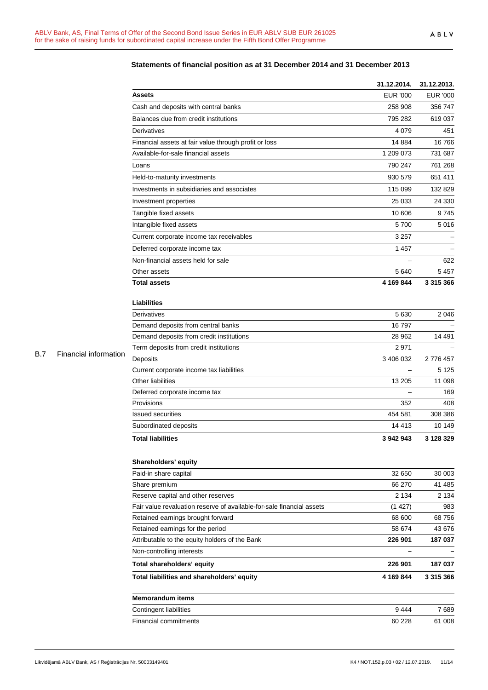|            |                       |                                                                       | 31.12.2014.              | 31.12.2013.     |
|------------|-----------------------|-----------------------------------------------------------------------|--------------------------|-----------------|
|            |                       | <b>Assets</b>                                                         | <b>EUR '000</b>          | <b>EUR '000</b> |
|            |                       | Cash and deposits with central banks                                  | 258 908                  | 356 747         |
|            |                       | Balances due from credit institutions                                 | 795 282                  | 619 037         |
|            |                       | Derivatives                                                           | 4 0 7 9                  | 451             |
|            |                       | Financial assets at fair value through profit or loss                 | 14 8 84                  | 16766           |
|            |                       | Available-for-sale financial assets                                   | 1 209 073                | 731 687         |
|            |                       | Loans                                                                 | 790 247                  | 761 268         |
|            |                       | Held-to-maturity investments                                          | 930 579                  | 651 411         |
|            |                       | Investments in subsidiaries and associates                            | 115 099                  | 132 829         |
|            |                       | Investment properties                                                 | 25 033                   | 24 330          |
|            |                       | Tangible fixed assets                                                 | 10 606                   | 9745            |
|            |                       | Intangible fixed assets                                               | 5700                     | 5016            |
|            |                       | Current corporate income tax receivables                              | 3 2 5 7                  |                 |
|            |                       | Deferred corporate income tax                                         | 1 4 5 7                  |                 |
|            |                       | Non-financial assets held for sale                                    |                          | 622             |
|            |                       | Other assets                                                          | 5 6 4 0                  | 5457            |
|            |                       | <b>Total assets</b>                                                   | 4 169 844                | 3 315 366       |
|            |                       |                                                                       |                          |                 |
|            |                       | <b>Liabilities</b>                                                    |                          |                 |
|            |                       | Derivatives                                                           | 5 6 30                   | 2046            |
|            |                       | Demand deposits from central banks                                    | 16 797                   |                 |
|            |                       | Demand deposits from credit institutions                              | 28 962                   | 14 491          |
| <b>B.7</b> | Financial information | Term deposits from credit institutions                                | 2971                     |                 |
|            |                       | Deposits                                                              | 3 406 032                | 2776457         |
|            |                       | Current corporate income tax liabilities                              | $\overline{\phantom{0}}$ | 5 1 2 5         |
|            |                       | Other liabilities                                                     | 13 205                   | 11 098          |
|            |                       | Deferred corporate income tax                                         |                          | 169             |
|            |                       | Provisions                                                            | 352                      | 408             |
|            |                       | <b>Issued securities</b>                                              | 454 581                  | 308 386         |
|            |                       | Subordinated deposits                                                 | 14 413                   | 10 149          |
|            |                       | <b>Total liabilities</b>                                              | 3 942 943                | 3 128 329       |
|            |                       | Shareholders' equity                                                  |                          |                 |
|            |                       | Paid-in share capital                                                 | 32 650                   | 30 003          |
|            |                       | Share premium                                                         | 66 270                   | 41 485          |
|            |                       | Reserve capital and other reserves                                    | 2 1 3 4                  | 2 1 3 4         |
|            |                       | Fair value revaluation reserve of available-for-sale financial assets | (1427)                   | 983             |
|            |                       | Retained earnings brought forward                                     | 68 600                   | 68756           |
|            |                       | Retained earnings for the period                                      | 58 674                   | 43 676          |
|            |                       | Attributable to the equity holders of the Bank                        | 226 901                  | 187 037         |
|            |                       | Non-controlling interests                                             |                          |                 |
|            |                       | Total shareholders' equity                                            | 226 901                  | 187 037         |
|            |                       | Total liabilities and shareholders' equity                            | 4 169 844                | 3 315 366       |
|            |                       | <b>Memorandum items</b>                                               |                          |                 |
|            |                       | Contingent liabilities                                                | 9444                     | 7689            |
|            |                       | Financial commitments                                                 | 60 228                   | 61 008          |

## **Statements of financial position as at 31 December 2014 and 31 December 2013**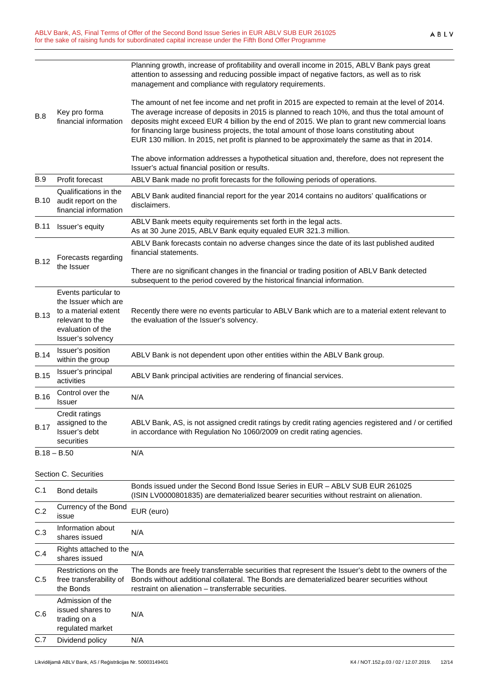|             |                                                                                   | Planning growth, increase of profitability and overall income in 2015, ABLV Bank pays great<br>attention to assessing and reducing possible impact of negative factors, as well as to risk<br>management and compliance with regulatory requirements.                                                                                                                                                                                                                                             |  |
|-------------|-----------------------------------------------------------------------------------|---------------------------------------------------------------------------------------------------------------------------------------------------------------------------------------------------------------------------------------------------------------------------------------------------------------------------------------------------------------------------------------------------------------------------------------------------------------------------------------------------|--|
| <b>B.8</b>  | Key pro forma<br>financial information                                            | The amount of net fee income and net profit in 2015 are expected to remain at the level of 2014.<br>The average increase of deposits in 2015 is planned to reach 10%, and thus the total amount of<br>deposits might exceed EUR 4 billion by the end of 2015. We plan to grant new commercial loans<br>for financing large business projects, the total amount of those loans constituting about<br>EUR 130 million. In 2015, net profit is planned to be approximately the same as that in 2014. |  |
|             |                                                                                   | The above information addresses a hypothetical situation and, therefore, does not represent the<br>Issuer's actual financial position or results.                                                                                                                                                                                                                                                                                                                                                 |  |
| <b>B.9</b>  | Profit forecast                                                                   | ABLV Bank made no profit forecasts for the following periods of operations.                                                                                                                                                                                                                                                                                                                                                                                                                       |  |
| B.10        | Qualifications in the<br>audit report on the<br>financial information             | ABLV Bank audited financial report for the year 2014 contains no auditors' qualifications or<br>disclaimers.                                                                                                                                                                                                                                                                                                                                                                                      |  |
| B.11        | Issuer's equity                                                                   | ABLV Bank meets equity requirements set forth in the legal acts.<br>As at 30 June 2015, ABLV Bank equity equaled EUR 321.3 million.                                                                                                                                                                                                                                                                                                                                                               |  |
| <b>B.12</b> | Forecasts regarding                                                               | ABLV Bank forecasts contain no adverse changes since the date of its last published audited<br>financial statements.                                                                                                                                                                                                                                                                                                                                                                              |  |
|             | the Issuer                                                                        | There are no significant changes in the financial or trading position of ABLV Bank detected<br>subsequent to the period covered by the historical financial information.                                                                                                                                                                                                                                                                                                                          |  |
|             | Events particular to<br>the Issuer which are                                      |                                                                                                                                                                                                                                                                                                                                                                                                                                                                                                   |  |
| <b>B.13</b> | to a material extent<br>relevant to the<br>evaluation of the<br>Issuer's solvency | Recently there were no events particular to ABLV Bank which are to a material extent relevant to<br>the evaluation of the Issuer's solvency.                                                                                                                                                                                                                                                                                                                                                      |  |
| <b>B.14</b> | Issuer's position<br>within the group                                             | ABLV Bank is not dependent upon other entities within the ABLV Bank group.                                                                                                                                                                                                                                                                                                                                                                                                                        |  |
| <b>B.15</b> | Issuer's principal<br>activities                                                  | ABLV Bank principal activities are rendering of financial services.                                                                                                                                                                                                                                                                                                                                                                                                                               |  |
| <b>B.16</b> | Control over the<br>Issuer                                                        | N/A                                                                                                                                                                                                                                                                                                                                                                                                                                                                                               |  |
| <b>B.17</b> | Credit ratings<br>assigned to the<br>Issuer's debt<br>securities                  | ABLV Bank, AS, is not assigned credit ratings by credit rating agencies registered and / or certified<br>in accordance with Regulation No 1060/2009 on credit rating agencies.                                                                                                                                                                                                                                                                                                                    |  |
|             | $B.18 - B.50$                                                                     | N/A                                                                                                                                                                                                                                                                                                                                                                                                                                                                                               |  |
|             | Section C. Securities                                                             |                                                                                                                                                                                                                                                                                                                                                                                                                                                                                                   |  |
| C.1         | <b>Bond details</b>                                                               | Bonds issued under the Second Bond Issue Series in EUR - ABLV SUB EUR 261025<br>(ISIN LV0000801835) are dematerialized bearer securities without restraint on alienation.                                                                                                                                                                                                                                                                                                                         |  |
| C.2         | Currency of the Bond<br>issue                                                     | EUR (euro)                                                                                                                                                                                                                                                                                                                                                                                                                                                                                        |  |
| C.3         | Information about<br>shares issued                                                | N/A                                                                                                                                                                                                                                                                                                                                                                                                                                                                                               |  |
| C.4         | Rights attached to the<br>shares issued                                           | N/A                                                                                                                                                                                                                                                                                                                                                                                                                                                                                               |  |
| C.5         | Restrictions on the<br>free transferability of<br>the Bonds                       | The Bonds are freely transferrable securities that represent the Issuer's debt to the owners of the<br>Bonds without additional collateral. The Bonds are dematerialized bearer securities without<br>restraint on alienation - transferrable securities.                                                                                                                                                                                                                                         |  |
| C.6         | Admission of the<br>issued shares to<br>trading on a<br>regulated market          | N/A                                                                                                                                                                                                                                                                                                                                                                                                                                                                                               |  |
| C.7         | Dividend policy                                                                   | N/A                                                                                                                                                                                                                                                                                                                                                                                                                                                                                               |  |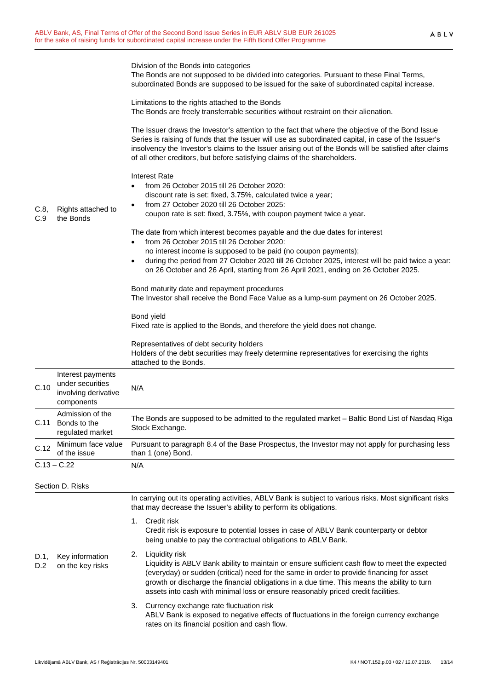|             | Rights attached to<br>the Bonds                                             | Division of the Bonds into categories<br>The Bonds are not supposed to be divided into categories. Pursuant to these Final Terms,<br>subordinated Bonds are supposed to be issued for the sake of subordinated capital increase.                                                                                                                                                                        |  |
|-------------|-----------------------------------------------------------------------------|---------------------------------------------------------------------------------------------------------------------------------------------------------------------------------------------------------------------------------------------------------------------------------------------------------------------------------------------------------------------------------------------------------|--|
| C.8,<br>C.9 |                                                                             | Limitations to the rights attached to the Bonds<br>The Bonds are freely transferrable securities without restraint on their alienation.                                                                                                                                                                                                                                                                 |  |
|             |                                                                             | The Issuer draws the Investor's attention to the fact that where the objective of the Bond Issue<br>Series is raising of funds that the Issuer will use as subordinated capital, in case of the Issuer's<br>insolvency the Investor's claims to the Issuer arising out of the Bonds will be satisfied after claims<br>of all other creditors, but before satisfying claims of the shareholders.         |  |
|             |                                                                             | <b>Interest Rate</b><br>from 26 October 2015 till 26 October 2020:<br>discount rate is set: fixed, 3.75%, calculated twice a year;                                                                                                                                                                                                                                                                      |  |
|             |                                                                             | from 27 October 2020 till 26 October 2025:<br>coupon rate is set: fixed, 3.75%, with coupon payment twice a year.                                                                                                                                                                                                                                                                                       |  |
|             |                                                                             | The date from which interest becomes payable and the due dates for interest<br>from 26 October 2015 till 26 October 2020:<br>no interest income is supposed to be paid (no coupon payments);                                                                                                                                                                                                            |  |
|             |                                                                             | during the period from 27 October 2020 till 26 October 2025, interest will be paid twice a year:<br>$\bullet$<br>on 26 October and 26 April, starting from 26 April 2021, ending on 26 October 2025.                                                                                                                                                                                                    |  |
|             |                                                                             | Bond maturity date and repayment procedures<br>The Investor shall receive the Bond Face Value as a lump-sum payment on 26 October 2025.                                                                                                                                                                                                                                                                 |  |
|             |                                                                             | Bond yield<br>Fixed rate is applied to the Bonds, and therefore the yield does not change.                                                                                                                                                                                                                                                                                                              |  |
|             |                                                                             | Representatives of debt security holders<br>Holders of the debt securities may freely determine representatives for exercising the rights<br>attached to the Bonds.                                                                                                                                                                                                                                     |  |
| C.10        | Interest payments<br>under securities<br>involving derivative<br>components | N/A                                                                                                                                                                                                                                                                                                                                                                                                     |  |
| C.11        | Admission of the<br>Bonds to the<br>regulated market                        | The Bonds are supposed to be admitted to the regulated market - Baltic Bond List of Nasdaq Riga<br>Stock Exchange.                                                                                                                                                                                                                                                                                      |  |
| C.12        | Minimum face value<br>of the issue                                          | Pursuant to paragraph 8.4 of the Base Prospectus, the Investor may not apply for purchasing less<br>than 1 (one) Bond.                                                                                                                                                                                                                                                                                  |  |
|             | $C.13 - C.22$                                                               | N/A                                                                                                                                                                                                                                                                                                                                                                                                     |  |
|             | Section D. Risks                                                            |                                                                                                                                                                                                                                                                                                                                                                                                         |  |
|             |                                                                             | In carrying out its operating activities, ABLV Bank is subject to various risks. Most significant risks<br>that may decrease the Issuer's ability to perform its obligations.                                                                                                                                                                                                                           |  |
| D.1,<br>D.2 | Key information<br>on the key risks                                         | Credit risk<br>1.<br>Credit risk is exposure to potential losses in case of ABLV Bank counterparty or debtor<br>being unable to pay the contractual obligations to ABLV Bank.                                                                                                                                                                                                                           |  |
|             |                                                                             | Liquidity risk<br>2.<br>Liquidity is ABLV Bank ability to maintain or ensure sufficient cash flow to meet the expected<br>(everyday) or sudden (critical) need for the same in order to provide financing for asset<br>growth or discharge the financial obligations in a due time. This means the ability to turn<br>assets into cash with minimal loss or ensure reasonably priced credit facilities. |  |
|             |                                                                             | Currency exchange rate fluctuation risk<br>3.<br>ABLV Bank is exposed to negative effects of fluctuations in the foreign currency exchange<br>rates on its financial position and cash flow.                                                                                                                                                                                                            |  |